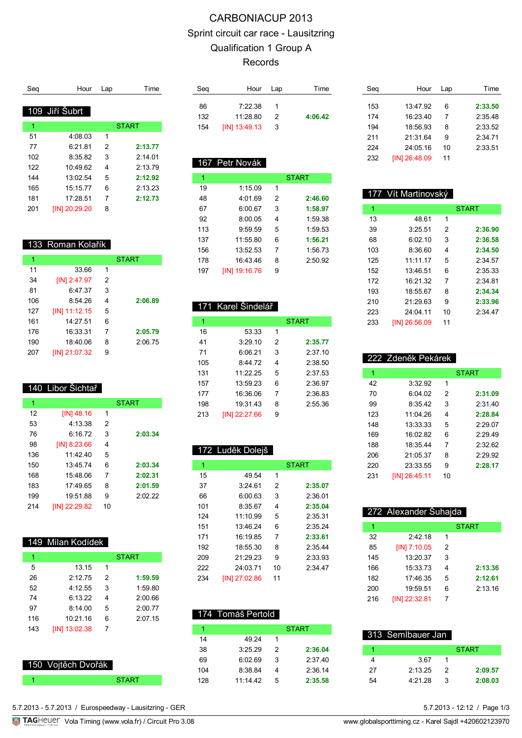# CARBONIACUP 2013 Sprint circuit car race - Lausitzring Qualification 1 Group A Records

| Sea | Hour           | Lap | Time         |
|-----|----------------|-----|--------------|
|     |                |     |              |
|     | 109 Jiří Šubrt |     |              |
| 1   |                |     | <b>START</b> |
| 51  | 4:08.03        | 1   |              |
| 77  | 6.21.81        | 2   | 2:13.77      |
| 102 | 8:35.82        | 3   | 2.14.01      |
| 122 | 10:49.62       | 4   | 2:13.79      |
| 144 | 13:02.54       | 5   | 2:12.92      |
| 165 | 15:15.77       | 6   | 2:13.23      |
| 181 | 17:28.51       | 7   | 2:12.73      |
| 201 | [IN] 20:29.20  | 8   |              |

### 133 Roman Kolařík

| 1   |               |   | <b>START</b> |
|-----|---------------|---|--------------|
| 11  | 33.66         | 1 |              |
| 34  | [IN] 2:47.97  | 2 |              |
| 81  | 6:47.37       | 3 |              |
| 106 | 8:54.26       | 4 | 2:06.89      |
| 127 | [IN] 11:12.15 | 5 |              |
| 161 | 14:27.51      | 6 |              |
| 176 | 16:33.31      | 7 | 2:05.79      |
| 190 | 18:40.06      | 8 | 2:06.75      |
| 207 | [IN] 21:07.32 | 9 |              |

#### 140 Libor Šichtař

| 1   |               |    | <b>START</b> |
|-----|---------------|----|--------------|
| 12  | $[IN]$ 48.16  | 1  |              |
| 53  | 4:13.38       | 2  |              |
| 76  | 6:16.72       | 3  | 2:03.34      |
| 98  | [IN] 8:23.66  | 4  |              |
| 136 | 11:42.40      | 5  |              |
| 150 | 13:45.74      | 6  | 2:03.34      |
| 168 | 15:48.06      | 7  | 2:02.31      |
| 183 | 17:49.65      | 8  | 2:01.59      |
| 199 | 19:51.88      | 9  | 2:02.22      |
| 214 | [IN] 22:29.82 | 10 |              |

#### 149 Milan Kodídek

| 1   |               |   | <b>START</b> |
|-----|---------------|---|--------------|
| 5   | 13.15         | 1 |              |
| 26  | 2.1275        | 2 | 1:59.59      |
| 52  | 4:12.55       | 3 | 1:59.80      |
| 74  | 6:13.22       | 4 | 2:00.66      |
| 97  | 8:14.00       | 5 | 2:00.77      |
| 116 | 10:21.16      | 6 | 2:07.15      |
| 143 | [IN] 13:02.38 | 7 |              |
|     |               |   |              |

| 150 Vojtěch Dvořák |  |
|--------------------|--|
|                    |  |

| Seg | Hour Lap        |   | Time    |
|-----|-----------------|---|---------|
|     |                 |   |         |
| 86  | 7.22.38         |   |         |
| 132 | 11.28.80        | 2 | 4:06.42 |
| 154 | $[IN]$ 13:49.13 | 3 |         |

## 167 Petr Novák

| 1   |               |   | <b>START</b> |  |
|-----|---------------|---|--------------|--|
| 19  | 1:15.09       | 1 |              |  |
| 48  | 4:01.69       | 2 | 2:46.60      |  |
| 67  | 6:00.67       | 3 | 1:58.97      |  |
| 92  | 8:00.05       | 4 | 1:59.38      |  |
| 113 | 9:59.59       | 5 | 1:59.53      |  |
| 137 | 11:55.80      | 6 | 1:56.21      |  |
| 156 | 13:52.53      | 7 | 1:56.73      |  |
| 178 | 16:43.46      | 8 | 2:50.92      |  |
| 197 | [IN] 19:16.76 | 9 |              |  |

### 171 Karel Šindelář

| 1   |               |   | <b>START</b> |
|-----|---------------|---|--------------|
| 16  | 53.33         | 1 |              |
| 41  | 3:29.10       | 2 | 2:35.77      |
| 71  | 6:06.21       | 3 | 2.3710       |
| 105 | 8.4472        | 4 | 2:38.50      |
| 131 | 11:22.25      | 5 | 2.37.53      |
| 157 | 13:59.23      | 6 | 2:36.97      |
| 177 | 16:36.06      | 7 | 2:36.83      |
| 198 | 19:31.43      | 8 | 2:55.36      |
| 213 | [IN] 22:27.66 | 9 |              |

|     | 172 Luděk Dolejš |    |              |
|-----|------------------|----|--------------|
| 1   |                  |    | <b>START</b> |
| 15  | 49.54            | 1  |              |
| 37  | 3:24.61          | 2  | 2:35.07      |
| 66  | 6:00.63          | 3  | 2:36.01      |
| 101 | 8:35.67          | 4  | 2:35.04      |
| 124 | 11:10.99         | 5  | 2:35.31      |
| 151 | 13:46.24         | 6  | 2:35.24      |
| 171 | 16.19.85         | 7  | 2:33.61      |
| 192 | 18:55.30         | 8  | 2:35.44      |
| 209 | 21.2923          | 9  | 2:33.93      |
| 222 | 24:03.71         | 10 | 2.3447       |
| 234 | [IN] 27:02.86    | 11 |              |
|     |                  |    |              |

#### 174 Tomáš Pertold

|     |         |   | <b>START</b> |
|-----|---------|---|--------------|
| 14  | 49.24   |   |              |
| 38  | 3.2529  | 2 | 2:36.04      |
| 69  | 6:02.69 | 3 | 2:37.40      |
| 104 | 8:38.84 | 4 | 2:36.14      |
| 128 | 11.1442 | 5 | 2:35.58      |

| Sea | Hour          | Lap | Time    |
|-----|---------------|-----|---------|
|     |               |     |         |
| 153 | 13:47.92      | 6   | 2:33.50 |
| 174 | 16:23.40      | 7   | 2:35.48 |
| 194 | 18:56.93      | 8   | 2:33.52 |
| 211 | 21:3164       | 9   | 2.3471  |
| 224 | 24:05.16      | 10  | 2:33.51 |
| 232 | [IN] 26:48.09 | 11  |         |

|     | 177 Vít Martinovský |    |              |
|-----|---------------------|----|--------------|
| 1   |                     |    | <b>START</b> |
| 13  | 48.61               | 1  |              |
| 39  | 3:25.51             | 2  | 2:36.90      |
| 68  | 6∙02 10             | 3  | 2:36.58      |
| 103 | 8:36.60             | 4  | 2:34.50      |
| 125 | 11.1117             | 5  | 2:34.57      |
| 152 | 13:46.51            | 6  | 2:35.33      |
| 172 | 16:21.32            | 7  | 2.34.81      |
| 193 | 18:55.67            | 8  | 2:34.34      |
| 210 | 21:29.63            | 9  | 2:33.96      |
| 223 | 24:04 11            | 10 | 2.3447       |
| 233 | [IN] 26:56.09       | 11 |              |

|     | 222 Zdeněk Pekárek |    |              |
|-----|--------------------|----|--------------|
| 1   |                    |    | <b>START</b> |
| 42  | 3:32.92            | 1  |              |
| 70  | 6:04.02            | 2  | 2:31.09      |
| 99  | 8:35.42            | 3  | 2:31.40      |
| 123 | 11.04.26           | 4  | 2:28.84      |
| 148 | 13:33.33           | 5  | 2:29.07      |
| 169 | 16:02.82           | 6  | 2:29.49      |
| 188 | 18:35.44           | 7  | 2:32.62      |
| 206 | 21:05.37           | 8  | 2:29.92      |
| 220 | 23:33.55           | 9  | 2:28.17      |
| 231 | IIN1 26:45.11      | 10 |              |

| 272 Alexander Šuhajda |               |   |              |  |  |
|-----------------------|---------------|---|--------------|--|--|
| 1                     |               |   | <b>START</b> |  |  |
| 32                    | 2.4218        | 1 |              |  |  |
| 85                    | [IN] 7:10.05  | 2 |              |  |  |
| 145                   | 13:20.37      | 3 |              |  |  |
| 166                   | 15:33.73      | 4 | 2:13.36      |  |  |
| 182                   | 17:46.35      | 5 | 2:12.61      |  |  |
| 200                   | 19:59.51      | 6 | 2:13.16      |  |  |
| 216                   | [IN] 22:32.81 |   |              |  |  |

|    | 313 SemIbauer Jan |   |              |
|----|-------------------|---|--------------|
|    |                   |   | <b>START</b> |
|    | 367               |   |              |
| 27 | 2:13.25           | 2 | 2:09.57      |
| 54 | 4.2128            | κ | 2:08.03      |

5.7.2013 - 5.7.2013 / Eurospeedway - Lausitzring - GER

START **1** 

TAGHeuer Vola Timing (www.vola.fr) / Circuit Pro 3.08 www.globalsporttiming.cz - Karel Sajdl +420602123970

5.7.2013 - 12:12 / Page 1/3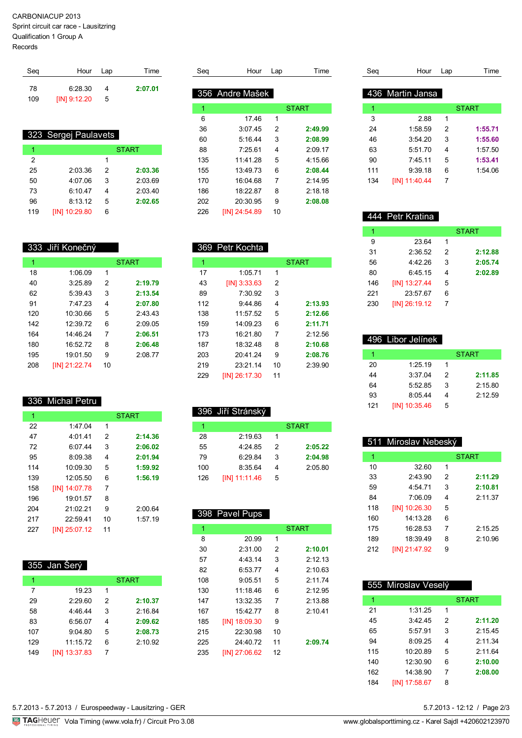#### CARBONIACUP 2013

Sprint circuit car race - Lausitzring

Qualification 1 Group A

Records

| Seg | Hour Lap       |   | Time    |
|-----|----------------|---|---------|
| 78  | 6.2830         | Δ | 2:07.01 |
| 109 | $[IN]$ 9:12.20 | 5 |         |

#### 323 Sergej Paulavets

|     |               |   | <b>START</b> |
|-----|---------------|---|--------------|
| 2   |               | 1 |              |
| 25  | 2:03.36       | 2 | 2:03.36      |
| 50  | 4:07.06       | 3 | 2:03.69      |
| 73  | 6:10.47       | 4 | 2:03.40      |
| 96  | 8:13.12       | 5 | 2:02.65      |
| 119 | [IN] 10:29.80 | 6 |              |

# 333 Jiří Konečný

| 1   |                     |    | <b>START</b> |
|-----|---------------------|----|--------------|
| 18  | 1:06.09             | 1  |              |
| 40  | 3:25.89             | 2  | 2:19.79      |
| 62  | 5:39.43             | 3  | 2:13.54      |
| 91  | 7.4723              | 4  | 2:07.80      |
| 120 | 10:30.66            | 5  | 2:43.43      |
| 142 | 12.3972             | 6  | 2.0905       |
| 164 | 14.4624             | 7  | 2:06.51      |
| 180 | 16:52.72            | 8  | 2:06.48      |
| 195 | 19:01.50            | 9  | 2:08.77      |
| 208 | <b>IIN121:22.74</b> | 10 |              |

## 336 Michal Petru

| 1   |               |               | <b>START</b> |
|-----|---------------|---------------|--------------|
| 22  | 1.4704        | 1             |              |
| 47  | 4:01.41       | $\mathcal{P}$ | 2:14.36      |
| 72  | 6.0744        | 3             | 2:06.02      |
| 95  | 8:09.38       | 4             | 2:01.94      |
| 114 | 10:09.30      | 5             | 1:59.92      |
| 139 | 12:05.50      | 6             | 1:56.19      |
| 158 | [IN] 14:07.78 | 7             |              |
| 196 | 19:01.57      | 8             |              |
| 204 | 21:02.21      | 9             | 2:00.64      |
| 217 | 22:59.41      | 10            | 1:57.19      |
| 227 | [IN] 25:07.12 | 11            |              |

# 355 Jan Šerý

| 1   |               |   | <b>START</b> |
|-----|---------------|---|--------------|
| 7   | 19.23         | 1 |              |
| 29  | 2:29.60       | 2 | 2:10.37      |
| 58  | 4:46.44       | 3 | 2:16.84      |
| 83  | 6:56.07       | 4 | 2:09.62      |
| 107 | 9:04.80       | 5 | 2:08.73      |
| 129 | 11:15.72      | 6 | 2:10.92      |
| 149 | [IN] 13:37.83 | 7 |              |

|  | 5.7.2013 - 5.7.2013 / Eurospeedway - Lausitzring - GER |
|--|--------------------------------------------------------|

|  |  |  | TAGHeuer Vola Timing (www.vola.fr) / Circuit Pro 3.0 |  |
|--|--|--|------------------------------------------------------|--|
|--|--|--|------------------------------------------------------|--|

| Sea | Hour            | Lap | Time         |
|-----|-----------------|-----|--------------|
|     |                 |     |              |
|     | 356 Andre Mašek |     |              |
| 1   |                 |     | <b>START</b> |
| 6   | 1746            | 1   |              |
| 36  | 3:07.45         | 2   | 2:49.99      |
| 60  | 5.1644          | 3   | 2:08.99      |
| 88  | 7.25.61         | 4   | 2:09.17      |
| 135 | 11:41 28        | 5   | 4.1566       |
| 155 | 13:49.73        | 6   | 2:08.44      |
| 170 | 16:04 68        | 7   | 2.1495       |
| 186 | 18:22.87        | 8   | 2:18.18      |
| 202 | 20:30.95        | 9   | 2:08.08      |
| 226 | [IN] 24:54.89   | 10  |              |

|     | 369 Petr Kochta |    |              |
|-----|-----------------|----|--------------|
| 1   |                 |    | <b>START</b> |
| 17  | 1:05.71         | 1  |              |
| 43  | $[IN]$ 3:33.63  | 2  |              |
| 89  | 7:30.92         | 3  |              |
| 112 | 9.44.86         | 4  | 2:13.93      |
| 138 | 11:57.52        | 5  | 2:12.66      |
| 159 | 14.0923         | 6  | 2:11.71      |
| 173 | 16:21 80        | 7  | 2.12.56      |
| 187 | 18:32.48        | 8  | 2:10.68      |
| 203 | 20:41.24        | 9  | 2:08.76      |
| 219 | 23:2114         | 10 | 2:39.90      |
| 229 | [IN] 26:17.30   | 11 |              |

#### 396 Jiří Stránský

|     |               |   | <b>START</b> |
|-----|---------------|---|--------------|
| 28  | 2:19.63       |   |              |
| 55  | 4.2485        | 2 | 2:05.22      |
| 79  | 6.29.84       | 3 | 2:04.98      |
| 100 | 8:3564        | 4 | 2:05.80      |
| 126 | [IN] 11:11.46 | 5 |              |

#### 398 Pavel Pups 1 START START 20.99 1 2:31.00 2 **2:10.01** 4:43.14 3 2:12.13 6:53.77 4 2:10.63 9:05.51 5 2:11.74 11:18.46 6 2:12.95 13:32.35 7 2:13.88 15:42.77 8 2:10.41 [IN] 18:09.30 9 22:30.98 10 24:40.72 11 **2:09.74** [IN] 27:06.62 12

| Sea | Hour             | Lap | Time         |
|-----|------------------|-----|--------------|
|     |                  |     |              |
|     | 436 Martin Jansa |     |              |
| 1   |                  |     | <b>START</b> |
| 3   | 2.88             | 1   |              |
| 24  | 1:58.59          | 2   | 1:55.71      |
| 46  | 3:54.20          | 3   | 1:55.60      |
| 63  | 5:51.70          | 4   | 1:57.50      |
| 90  | 7:45.11          | 5   | 1:53.41      |
| 111 | 9:39.18          | 6   | 1:54.06      |
| 134 | [IN] 11:40.44    | 7   |              |
|     |                  |     |              |

#### 444 Petr Kratina 1 START 23.64 1 2:36.52 2 **2:12.88** 4:42.26 3 **2:05.74** 6:45.15 4 **2:02.89** [IN] 13:27.44 5 23:57.67 6 [IN] 26:19.12 7

|     | 496 Libor Jelínek |   |              |
|-----|-------------------|---|--------------|
| 1   |                   |   | <b>START</b> |
| 20  | 1:25.19           | 1 |              |
| 44  | 3.3704            | 2 | 2:11.85      |
| 64  | 5:52.85           | 3 | 2:15.80      |
| 93  | 8:05.44           |   | 2:12.59      |
| 121 | [IN] 10:35.46     | 5 |              |

| 511 Miroslav Nebeský |               |               |              |  |
|----------------------|---------------|---------------|--------------|--|
| 1                    |               |               | <b>START</b> |  |
| 10                   | 32.60         | 1             |              |  |
| 33                   | 2:43.90       | $\mathcal{P}$ | 2:11.29      |  |
| 59                   | 4.5471        | 3             | 2:10.81      |  |
| 84                   | 7:06.09       | 4             | 2:11.37      |  |
| 118                  | [IN] 10:26.30 | 5             |              |  |
| 160                  | 14.13.28      | 6             |              |  |
| 175                  | 16:28.53      | 7             | 2:15.25      |  |
| 189                  | 18:39.49      | 8             | 2:10.96      |  |
| 212                  | [IN] 21:47.92 | 9             |              |  |

| 555 Miroslav Veselý |               |               |              |  |
|---------------------|---------------|---------------|--------------|--|
| 1                   |               |               | <b>START</b> |  |
| 21                  | 1:31.25       | 1             |              |  |
| 45                  | 3:42.45       | $\mathcal{P}$ | 2:11.20      |  |
| 65                  | 5:57.91       | 3             | 2:15.45      |  |
| 94                  | 8:09.25       | 4             | 2.11.34      |  |
| 115                 | 10:20.89      | 5             | 2:11.64      |  |
| 140                 | 12:30.90      | 6             | 2:10.00      |  |
| 162                 | 14:38.90      | 7             | 2:08.00      |  |
| 184                 | IIN1 17:58.67 | 8             |              |  |

5.7.2013 - 12:12 / Page 2/3